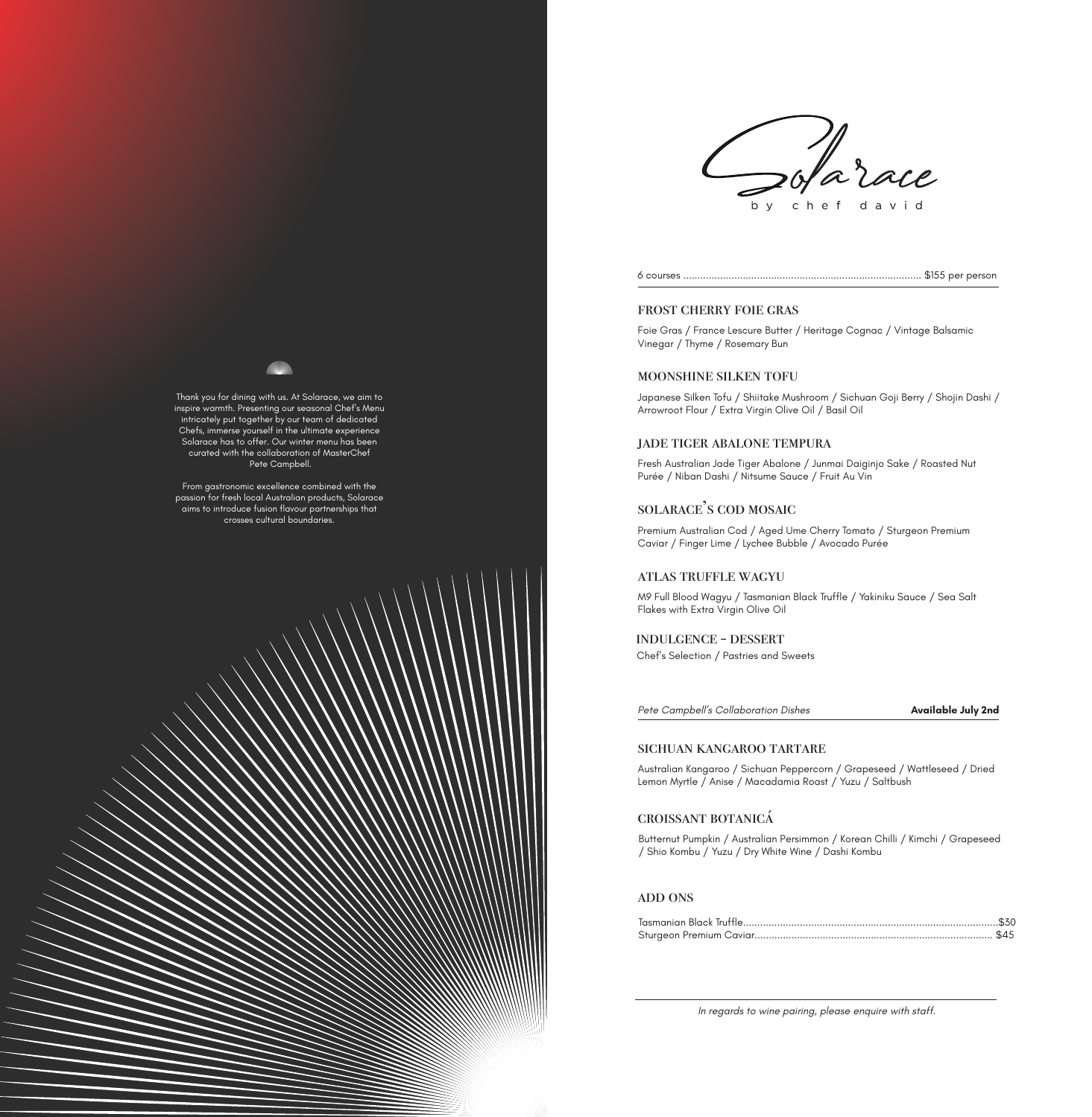

6 courses .................................................................................... \$155 per person

#### frost cherry foie gras

Foie Gras / France Lescure Butter / Heritage Cognac / Vintage Balsamic Vinegar / Thyme / Rosemary Bun

### moonshine silken tofu

Japanese Silken Tofu / Shiitake Mushroom / Sichuan Goji Berry / Shojin Dashi / Arrowroot Flour / Extra Virgin Olive Oil / Basil Oil

# jade tiger abalone tempura

Fresh Australian Jade Tiger Abalone / Junmai Daiginjo Sake / Roasted Nut Purée / Niban Dashi / Nitsume Sauce / Fruit Au Vin

# solarace's cod mosaic

Premium Australian Cod / Aged Ume Cherry Tomato / Sturgeon Premium Caviar / Finger Lime / Lychee Bubble / Avocado Purée

### atlas truffle wagyu

M9 Full Blood Wagyu / Tasmanian Black Truffle / Yakiniku Sauce / Sea Salt Flakes with Extra Virgin Olive Oil

## indulgence - dessert

Chef's Selection / Pastries and Sweets

*Pete Campbell's Collaboration Dishes*

#### **Available July 2nd**

# sichuan kangaroo tartare

Australian Kangaroo / Sichuan Peppercorn / Grapeseed / Wattleseed / Dried Lemon Myrtle / Anise / Macadamia Roast / Yuzu / Saltbush

# croissant botanicá

Butternut Pumpkin / Australian Persimmon / Korean Chilli / Kimchi / Grapeseed / Shio Kombu / Yuzu / Dry White Wine / Dashi Kombu

# ADD ONS

*In regards to wine pairing, please enquire with staff.*

Thank you for dining with us. At Solarace, we aim to inspire warmth. Presenting our seasonal Chef's Menu intricately put together by our team of dedicated Chefs, immerse yourself in the ultimate experience Solarace has to offer. Our winter menu has been curated with the collaboration of MasterChef Pete Campbell.

From gastronomic excellence combined with the passion for fresh local Australian products, Solarace aims to introduce fusion flavour partnerships that crosses cultural boundaries.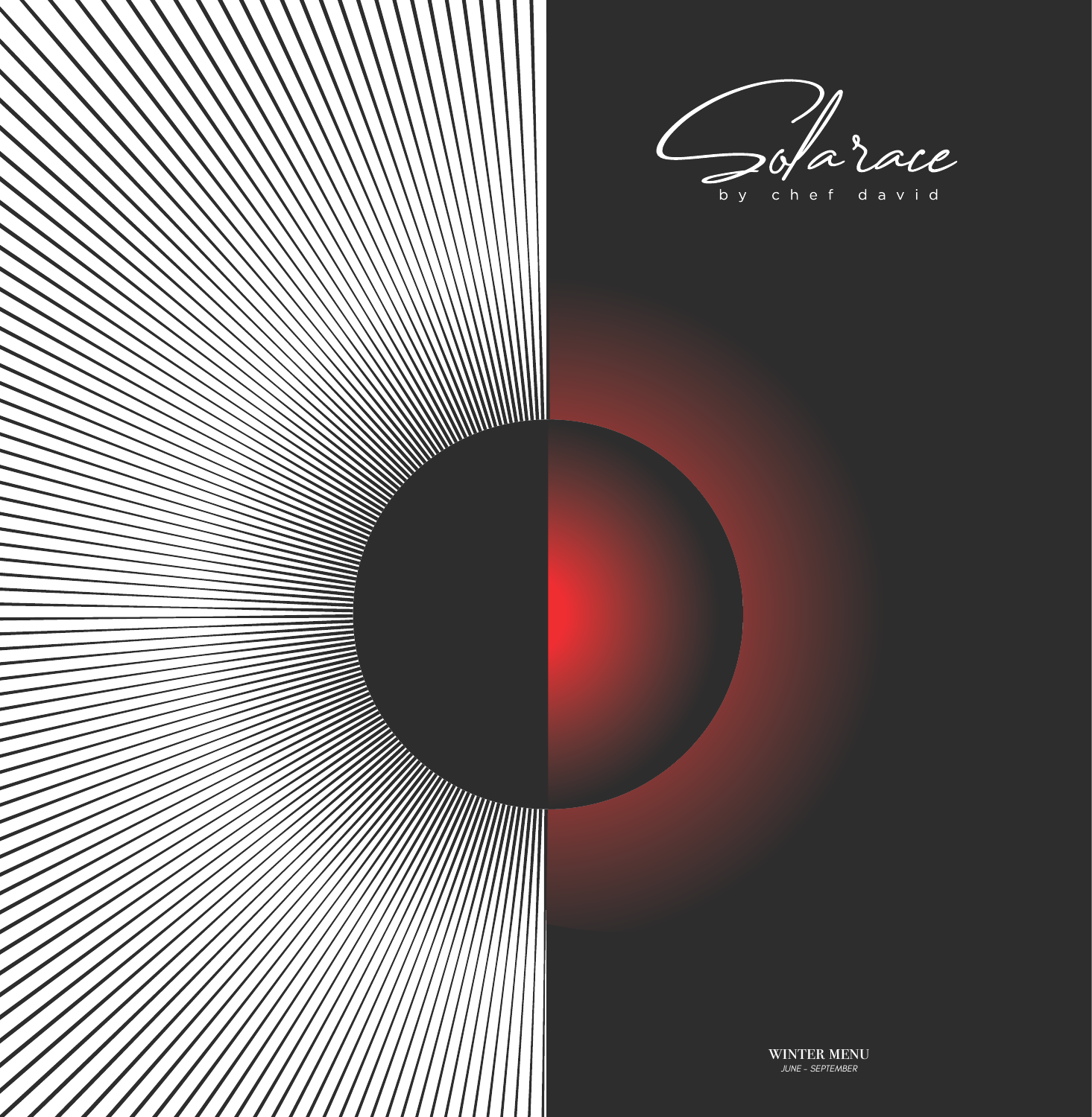Sofarace by chef david

**SANAN MANAMANINA SANA A TANÀNA MANDRIA NA BENERA DIA KAOMININA MANDRI A TANÀNA AO AO FAINMENT AO FAINMENT AO F**<br>NA FIRANTSA MANAGEMENT AO FAINMENT AO FAINMENT AO FAINMENT AO FAINMENT AO FAINMENT AO FAINMENT AO FAINMENT AO

WINTER MENU *JUNE - SEPTEMBER*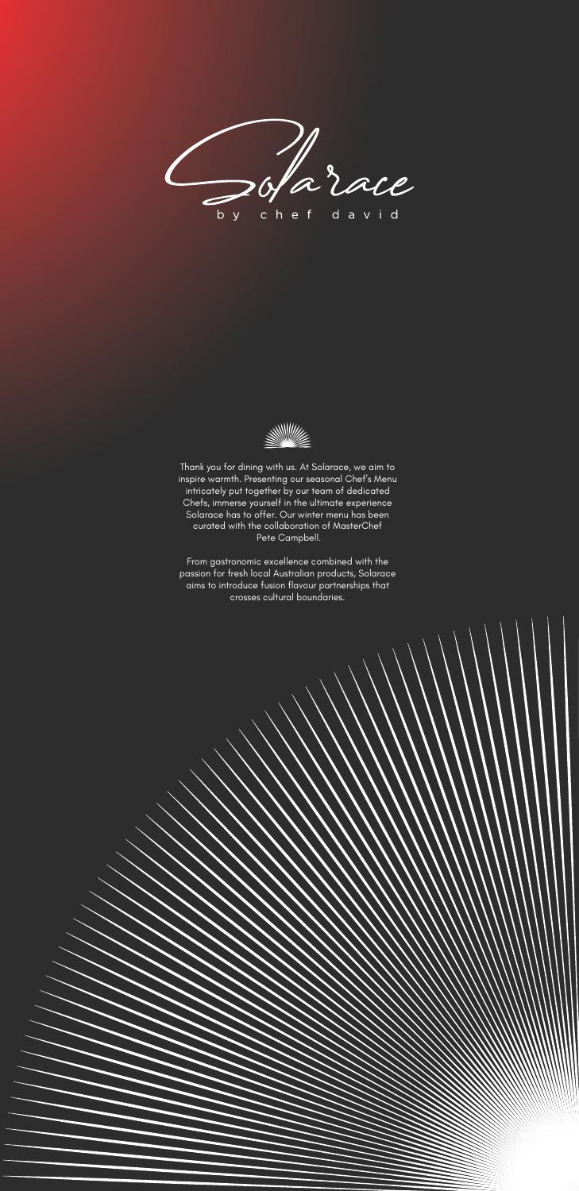



Thank you for dining with us. At Solarace, we aim to inspire warmth. Presenting our seasonal Chef's Menu intricately put together by our team of dedicated Chefs, immerse yourself in the ultimate experience Solarace has to offer. Our winter menu has been curated with the collaboration of MasterChef Pete Campbell.

From gastronomic excellence combined with the passion for fresh local Australian products, Solarace aims to introduce fusion flavour partnerships that crosses cultural boundaries.